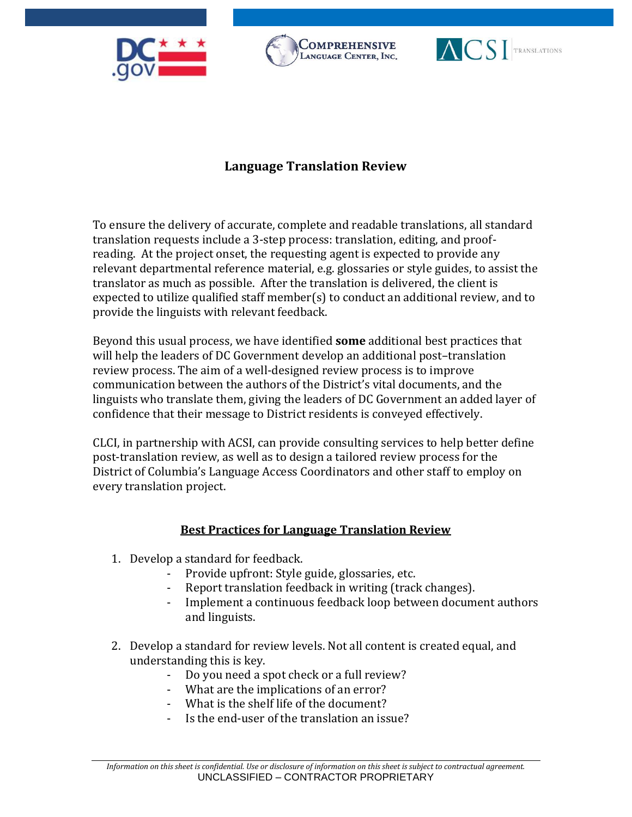





## **Language Translation Review**

To ensure the delivery of accurate, complete and readable translations, all standard translation requests include a 3-step process: translation, editing, and proofreading. At the project onset, the requesting agent is expected to provide any relevant departmental reference material, e.g. glossaries or style guides, to assist the translator as much as possible. After the translation is delivered, the client is expected to utilize qualified staff member(s) to conduct an additional review, and to provide the linguists with relevant feedback.

Beyond this usual process, we have identified **some** additional best practices that will help the leaders of DC Government develop an additional post–translation review process. The aim of a well-designed review process is to improve communication between the authors of the District's vital documents, and the linguists who translate them, giving the leaders of DC Government an added layer of confidence that their message to District residents is conveyed effectively.

CLCI, in partnership with ACSI, can provide consulting services to help better define post-translation review, as well as to design a tailored review process for the District of Columbia's Language Access Coordinators and other staff to employ on every translation project.

## **Best Practices for Language Translation Review**

- 1. Develop a standard for feedback.
	- Provide upfront: Style guide, glossaries, etc.
	- Report translation feedback in writing (track changes).
	- Implement a continuous feedback loop between document authors and linguists.
- 2. Develop a standard for review levels. Not all content is created equal, and understanding this is key.
	- Do you need a spot check or a full review?
	- What are the implications of an error?
	- What is the shelf life of the document?
	- Is the end-user of the translation an issue?